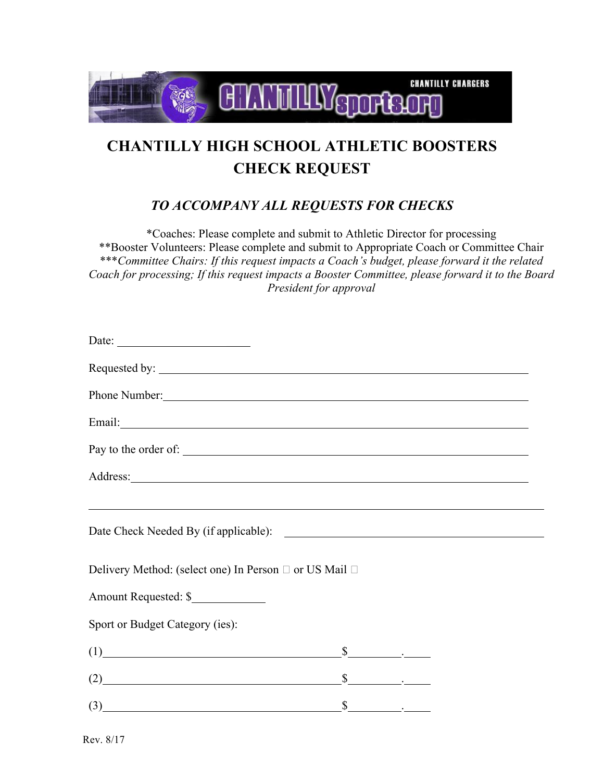

## **CHANTILLY HIGH SCHOOL ATHLETIC BOOSTERS CHECK REQUEST**

## *TO ACCOMPANY ALL REQUESTS FOR CHECKS*

\*Coaches: Please complete and submit to Athletic Director for processing \*\*Booster Volunteers: Please complete and submit to Appropriate Coach or Committee Chair \*\*\**Committee Chairs: If this request impacts a Coach's budget, please forward it the related Coach for processing; If this request impacts a Booster Committee, please forward it to the Board President for approval*

| Date: $\qquad \qquad \qquad$                                                                           |    |  |                                                        |       |  |
|--------------------------------------------------------------------------------------------------------|----|--|--------------------------------------------------------|-------|--|
| Phone Number:<br>Pay to the order of:<br><u> 1989 - Johann Barbara, markazar margolaria (h. 1989).</u> |    |  |                                                        |       |  |
|                                                                                                        |    |  | Delivery Method: (select one) In Person □ or US Mail □ |       |  |
|                                                                                                        |    |  | Amount Requested: \$                                   |       |  |
|                                                                                                        |    |  | Sport or Budget Category (ies):                        |       |  |
|                                                                                                        |    |  | $(1)$                                                  | $S$ . |  |
|                                                                                                        |    |  | $(2)$ $$$                                              |       |  |
| $\left(3\right)$                                                                                       | \$ |  |                                                        |       |  |